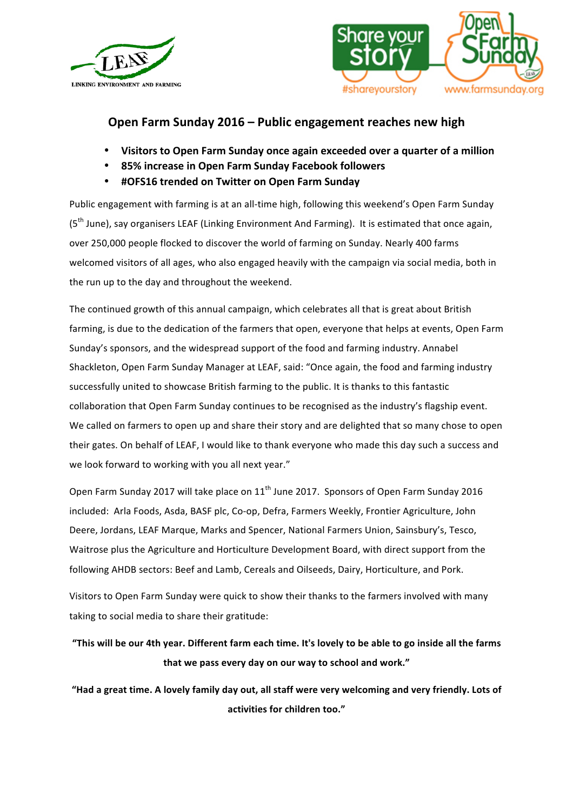



## **Open Farm Sunday 2016 – Public engagement reaches new high**

- **Visitors to Open Farm Sunday once again exceeded over a quarter of a million**
- **85% increase in Open Farm Sunday Facebook followers**
- **#OFS16 trended on Twitter on Open Farm Sunday**

Public engagement with farming is at an all-time high, following this weekend's Open Farm Sunday (5<sup>th</sup> June), say organisers LEAF (Linking Environment And Farming). It is estimated that once again, over 250,000 people flocked to discover the world of farming on Sunday. Nearly 400 farms welcomed visitors of all ages, who also engaged heavily with the campaign via social media, both in the run up to the day and throughout the weekend.

The continued growth of this annual campaign, which celebrates all that is great about British farming, is due to the dedication of the farmers that open, everyone that helps at events, Open Farm Sunday's sponsors, and the widespread support of the food and farming industry. Annabel Shackleton, Open Farm Sunday Manager at LEAF, said: "Once again, the food and farming industry successfully united to showcase British farming to the public. It is thanks to this fantastic collaboration that Open Farm Sunday continues to be recognised as the industry's flagship event. We called on farmers to open up and share their story and are delighted that so many chose to open their gates. On behalf of LEAF, I would like to thank everyone who made this day such a success and we look forward to working with you all next year."

Open Farm Sunday 2017 will take place on 11<sup>th</sup> June 2017. Sponsors of Open Farm Sunday 2016 included: Arla Foods, Asda, BASF plc, Co-op, Defra, Farmers Weekly, Frontier Agriculture, John Deere, Jordans, LEAF Marque, Marks and Spencer, National Farmers Union, Sainsbury's, Tesco, Waitrose plus the Agriculture and Horticulture Development Board, with direct support from the following AHDB sectors: Beef and Lamb, Cereals and Oilseeds, Dairy, Horticulture, and Pork.

Visitors to Open Farm Sunday were quick to show their thanks to the farmers involved with many taking to social media to share their gratitude:

**"This will be our 4th year. Different farm each time. It's lovely to be able to go inside all the farms that we pass every day on our way to school and work."**

**"Had a great time. A lovely family day out, all staff were very welcoming and very friendly. Lots of activities for children too."**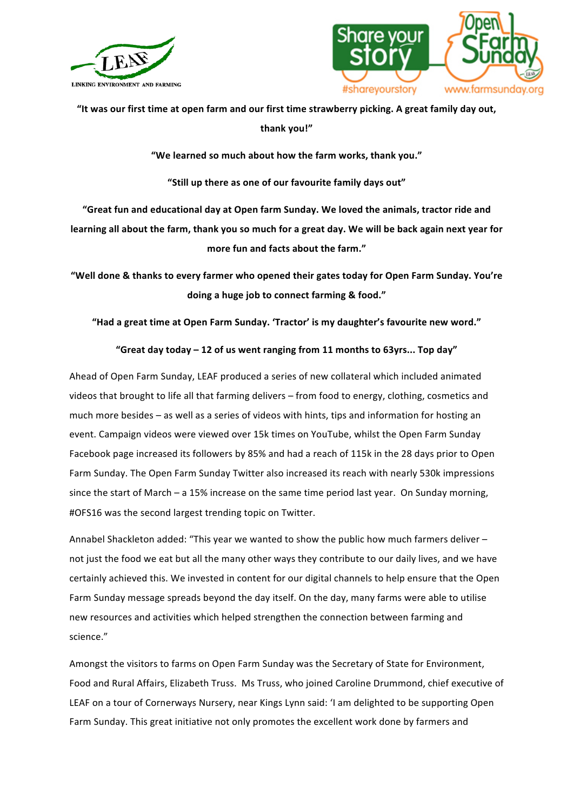



**"It was our first time at open farm and our first time strawberry picking. A great family day out, thank you!"**

**"We learned so much about how the farm works, thank you."**

**"Still up there as one of our favourite family days out"**

**"Great fun and educational day at Open farm Sunday. We loved the animals, tractor ride and learning all about the farm, thank you so much for a great day. We will be back again next year for more fun and facts about the farm."**

**"Well done & thanks to every farmer who opened their gates today for Open Farm Sunday. You're doing a huge job to connect farming & food."**

**"Had a great time at Open Farm Sunday. 'Tractor' is my daughter's favourite new word."** 

## **"Great day today – 12 of us went ranging from 11 months to 63yrs... Top day"**

Ahead of Open Farm Sunday, LEAF produced a series of new collateral which included animated videos that brought to life all that farming delivers – from food to energy, clothing, cosmetics and much more besides – as well as a series of videos with hints, tips and information for hosting an event. Campaign videos were viewed over 15k times on YouTube, whilst the Open Farm Sunday Facebook page increased its followers by 85% and had a reach of 115k in the 28 days prior to Open Farm Sunday. The Open Farm Sunday Twitter also increased its reach with nearly 530k impressions since the start of March – a 15% increase on the same time period last vear. On Sunday morning, #OFS16 was the second largest trending topic on Twitter.

Annabel Shackleton added: "This year we wanted to show the public how much farmers deliver not just the food we eat but all the many other ways they contribute to our daily lives, and we have certainly achieved this. We invested in content for our digital channels to help ensure that the Open Farm Sunday message spreads beyond the day itself. On the day, many farms were able to utilise new resources and activities which helped strengthen the connection between farming and science." 

Amongst the visitors to farms on Open Farm Sunday was the Secretary of State for Environment, Food and Rural Affairs, Elizabeth Truss. Ms Truss, who joined Caroline Drummond, chief executive of LEAF on a tour of Cornerways Nursery, near Kings Lynn said: 'I am delighted to be supporting Open Farm Sunday. This great initiative not only promotes the excellent work done by farmers and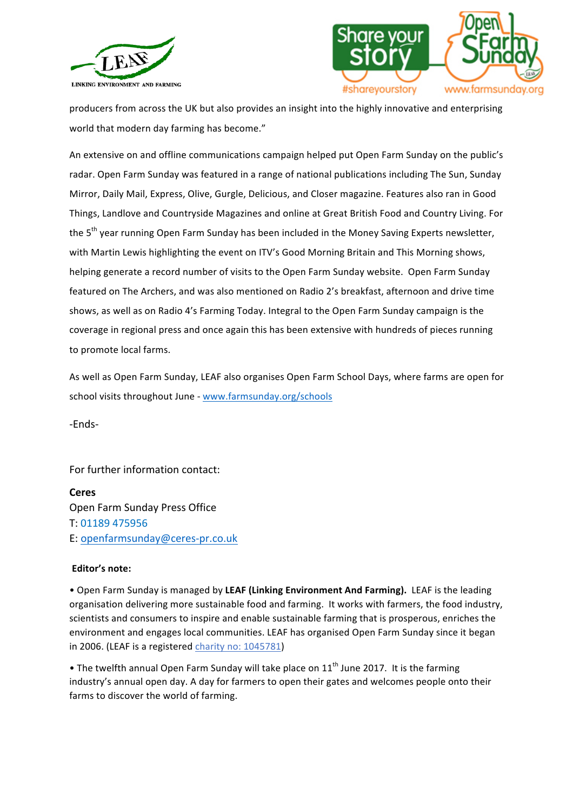



producers from across the UK but also provides an insight into the highly innovative and enterprising world that modern day farming has become."

An extensive on and offline communications campaign helped put Open Farm Sunday on the public's radar. Open Farm Sunday was featured in a range of national publications including The Sun, Sunday Mirror, Daily Mail, Express, Olive, Gurgle, Delicious, and Closer magazine. Features also ran in Good Things, Landlove and Countryside Magazines and online at Great British Food and Country Living. For the 5<sup>th</sup> year running Open Farm Sunday has been included in the Money Saving Experts newsletter, with Martin Lewis highlighting the event on ITV's Good Morning Britain and This Morning shows, helping generate a record number of visits to the Open Farm Sunday website. Open Farm Sunday featured on The Archers, and was also mentioned on Radio 2's breakfast, afternoon and drive time shows, as well as on Radio 4's Farming Today. Integral to the Open Farm Sunday campaign is the coverage in regional press and once again this has been extensive with hundreds of pieces running to promote local farms.

As well as Open Farm Sunday, LEAF also organises Open Farm School Days, where farms are open for school visits throughout June - www.farmsunday.org/schools

-Ends-

For further information contact:

## **Ceres**

Open Farm Sunday Press Office T: 01189 475956 E: openfarmsunday@ceres-pr.co.uk

## **Editor's note:**

• Open Farm Sunday is managed by LEAF (Linking Environment And Farming). LEAF is the leading organisation delivering more sustainable food and farming. It works with farmers, the food industry, scientists and consumers to inspire and enable sustainable farming that is prosperous, enriches the environment and engages local communities. LEAF has organised Open Farm Sunday since it began in 2006. (LEAF is a registered *charity no:* 1045781)

• The twelfth annual Open Farm Sunday will take place on  $11<sup>th</sup>$  June 2017. It is the farming industry's annual open day. A day for farmers to open their gates and welcomes people onto their farms to discover the world of farming.